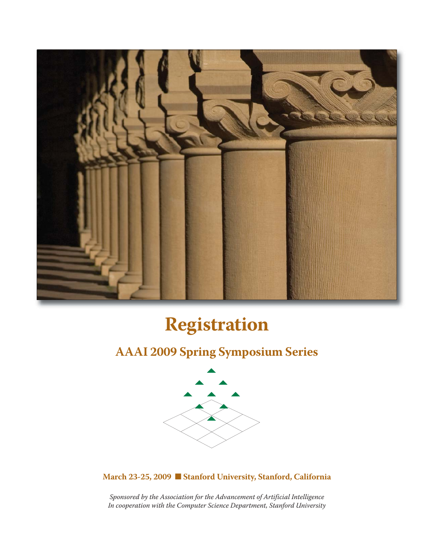

# **Registration**

### **AAAI 2009 Spring Symposium Series**



**March 23-25, 2009** n **Stanford University, Stanford, California**

*Sponsored by the Association for the Advancement of Artificial Intelligence In cooperation with the Computer Science Department, Stanford University*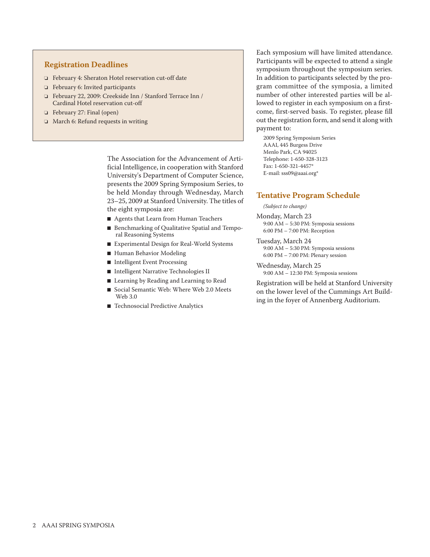#### **Registration Deadlines**

- o February 4: Sheraton Hotel reservation cut-off date
- $\Box$  February 6: Invited participants
- o February 22, 2009: Creekside Inn / Stanford Terrace Inn / Cardinal Hotel reservation cut-off
- o February 27: Final (open)
- $\Box$  March 6: Refund requests in writing

The Association for the Advancement of Artificial Intelligence, in cooperation with Stanford University's Department of Computer Science, presents the 2009 Spring Symposium Series, to be held Monday through Wednesday, March 23–25, 2009 at Stanford University. The titles of the eight symposia are:

- Agents that Learn from Human Teachers
- Benchmarking of Qualitative Spatial and Temporal Reasoning Systems
- Experimental Design for Real-World Systems
- Human Behavior Modeling
- Intelligent Event Processing
- Intelligent Narrative Technologies II
- Learning by Reading and Learning to Read
- Social Semantic Web: Where Web 2.0 Meets Web 3.0
- Technosocial Predictive Analytics

Each symposium will have limited attendance. Participants will be expected to attend a single symposium throughout the symposium series. In addition to participants selected by the program committee of the symposia, a limited number of other interested parties will be allowed to register in each symposium on a firstcome, first-served basis. To register, please fill out the registration form, and send it along with payment to:

2009 Spring Symposium Series AAAI, 445 Burgess Drive Menlo Park, CA 94025 Telephone: 1-650-328-3123 Fax: 1-650-321-4457\* E-mail: sss09@aaai.org\*

#### **Tentative Program Schedule**

*(Subject to change)*

Monday, March 23 9:00 AM – 5:30 PM: Symposia sessions 6:00 PM – 7:00 PM: Reception

- Tuesday, March 24 9:00 AM – 5:30 PM: Symposia sessions 6:00 PM – 7:00 PM: Plenary session
- Wednesday, March 25 9:00 AM – 12:30 PM: Symposia sessions

Registration will be held at Stanford University on the lower level of the Cummings Art Building in the foyer of Annenberg Auditorium.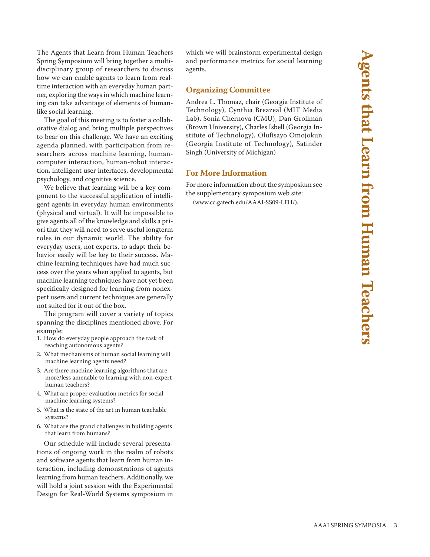The Agents that Learn from Human Teachers Spring Symposium will bring together a multidisciplinary group of researchers to discuss how we can enable agents to learn from realtime interaction with an everyday human partner, exploring the ways in which machine learning can take advantage of elements of humanlike social learning.

The goal of this meeting is to foster a collaborative dialog and bring multiple perspectives to bear on this challenge. We have an exciting agenda planned, with participation from researchers across machine learning, humancomputer interaction, human-robot interaction, intelligent user interfaces, developmental psychology, and cognitive science.

We believe that learning will be a key component to the successful application of intelligent agents in everyday human environments (physical and virtual). It will be impossible to give agents all of the knowledge and skills a priori that they will need to serve useful longterm roles in our dynamic world. The ability for everyday users, not experts, to adapt their behavior easily will be key to their success. Machine learning techniques have had much success over the years when applied to agents, but machine learning techniques have not yet been specifically designed for learning from nonexpert users and current techniques are generally not suited for it out of the box.

The program will cover a variety of topics spanning the disciplines mentioned above. For example:

- 1. How do everyday people approach the task of teaching autonomous agents?
- 2. What mechanisms of human social learning will machine learning agents need?
- 3. Are there machine learning algorithms that are more/less amenable to learning with non-expert human teachers?
- 4. What are proper evaluation metrics for social machine learning systems?
- 5. What is the state of the art in human teachable systems?
- 6. What are the grand challenges in building agents that learn from humans?

Our schedule will include several presentations of ongoing work in the realm of robots and software agents that learn from human interaction, including demonstrations of agents learning from human teachers. Additionally, we will hold a joint session with the Experimental Design for Real-World Systems symposium in which we will brainstorm experimental design and performance metrics for social learning agents.

#### **Organizing Committee**

Andrea L. Thomaz, chair (Georgia Institute of Technology), Cynthia Breazeal (MIT Media Lab), Sonia Chernova (CMU), Dan Grollman (Brown University), Charles Isbell (Georgia Institute of Technology), Olufisayo Omojokun (Georgia Institute of Technology), Satinder Singh (University of Michigan)

#### **For More Information**

For more information about the symposium see the supplementary symposium web site:

(www.cc.gatech.edu/AAAI-SS09-LFH/).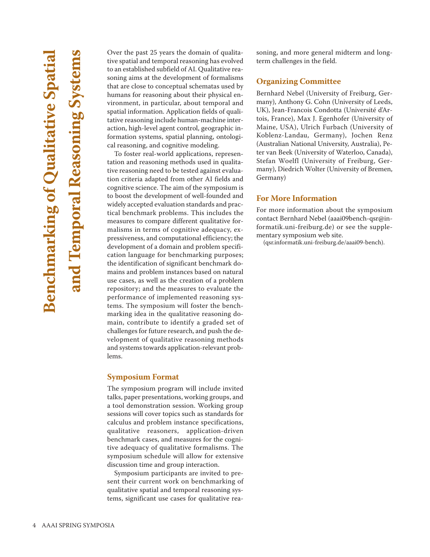Over the past 25 years the domain of qualitative spatial and temporal reasoning has evolved to an established subfield of AI. Qualitative reasoning aims at the development of formalisms that are close to conceptual schematas used by humans for reasoning about their physical environment, in particular, about temporal and spatial information. Application fields of qualitative reasoning include human-machine interaction, high-level agent control, geographic information systems, spatial planning, ontological reasoning, and cognitive modeling.

To foster real-world applications, representation and reasoning methods used in qualitative reasoning need to be tested against evaluation criteria adapted from other AI fields and cognitive science. The aim of the symposium is to boost the development of well-founded and widely accepted evaluation standards and practical benchmark problems. This includes the measures to compare different qualitative formalisms in terms of cognitive adequacy, expressiveness, and computational efficiency; the development of a domain and problem specification language for benchmarking purposes; the identification of significant benchmark domains and problem instances based on natural use cases, as well as the creation of a problem repository; and the measures to evaluate the performance of implemented reasoning systems. The symposium will foster the benchmarking idea in the qualitative reasoning domain, contribute to identify a graded set of challenges for future research, and push the development of qualitative reasoning methods and systems towards application-relevant problems.

#### **Symposium Format**

The symposium program will include invited talks, paper presentations, working groups, and a tool demonstration session. Working group sessions will cover topics such as standards for calculus and problem instance specifications, qualitative reasoners, application-driven benchmark cases, and measures for the cognitive adequacy of qualitative formalisms. The symposium schedule will allow for extensive discussion time and group interaction.

Symposium participants are invited to present their current work on benchmarking of qualitative spatial and temporal reasoning systems, significant use cases for qualitative reasoning, and more general midterm and longterm challenges in the field.

#### **Organizing Committee**

Bernhard Nebel (University of Freiburg, Germany), Anthony G. Cohn (University of Leeds, UK), Jean-Francois Condotta (Université d'Artois, France), Max J. Egenhofer (University of Maine, USA), Ulrich Furbach (University of Koblenz-Landau, Germany), Jochen Renz (Australian National University, Australia), Peter van Beek (University of Waterloo, Canada), Stefan Woelfl (University of Freiburg, Germany), Diedrich Wolter (University of Bremen, Germany)

#### **For More Information**

For more information about the symposium contact Bernhard Nebel (aaai09bench-qsr@informatik.uni-freiburg.de) or see the supplementary symposium web site.

(qsr.informatik.uni-freiburg.de/aaai09-bench).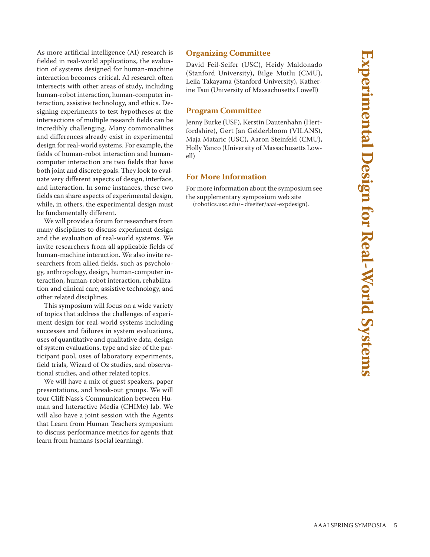As more artificial intelligence (AI) research is fielded in real-world applications, the evaluation of systems designed for human-machine interaction becomes critical. AI research often intersects with other areas of study, including human-robot interaction, human-computer interaction, assistive technology, and ethics. Designing experiments to test hypotheses at the intersections of multiple research fields can be incredibly challenging. Many commonalities and differences already exist in experimental design for real-world systems. For example, the fields of human-robot interaction and humancomputer interaction are two fields that have both joint and discrete goals. They look to evaluate very different aspects of design, interface, and interaction. In some instances, these two fields can share aspects of experimental design, while, in others, the experimental design must be fundamentally different.

We will provide a forum for researchers from many disciplines to discuss experiment design and the evaluation of real-world systems. We invite researchers from all applicable fields of human-machine interaction. We also invite researchers from allied fields, such as psychology, anthropology, design, human-computer interaction, human-robot interaction, rehabilitation and clinical care, assistive technology, and other related disciplines.

This symposium will focus on a wide variety of topics that address the challenges of experiment design for real-world systems including successes and failures in system evaluations, uses of quantitative and qualitative data, design of system evaluations, type and size of the participant pool, uses of laboratory experiments, field trials, Wizard of Oz studies, and observational studies, and other related topics.

We will have a mix of guest speakers, paper presentations, and break-out groups. We will tour Cliff Nass's Communication between Human and Interactive Media (CHIMe) lab. We will also have a joint session with the Agents that Learn from Human Teachers symposium to discuss performance metrics for agents that learn from humans (social learning).

#### **Organizing Committee**

David Feil-Seifer (USC), Heidy Maldonado (Stanford University), Bilge Mutlu (CMU), Leila Takayama (Stanford University), Katherine Tsui (University of Massachusetts Lowell)

#### **Program Committee**

Jenny Burke (USF), Kerstin Dautenhahn (Hertfordshire), Gert Jan Gelderbloom (VILANS), Maja Mataric (USC), Aaron Steinfeld (CMU), Holly Yanco (University of Massachusetts Lowell)

#### **For More Information**

For more information about the symposium see the supplementary symposium web site (robotics.usc.edu/~dfseifer/aaai-expdesign).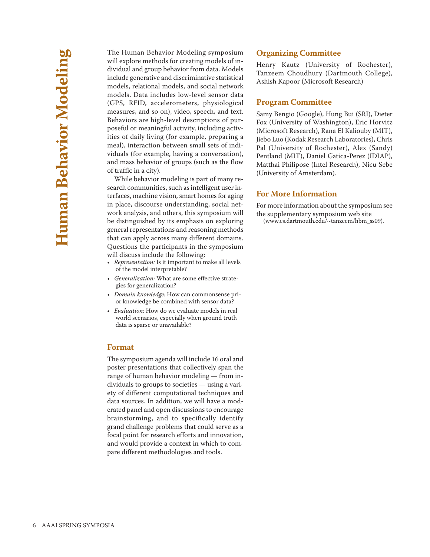The Human Behavior Modeling symposium will explore methods for creating models of individual and group behavior from data. Models include generative and discriminative statistical models, relational models, and social network models. Data includes low-level sensor data (GPS, RFID, accelerometers, physiological measures, and so on), video, speech, and text. Behaviors are high-level descriptions of purposeful or meaningful activity, including activities of daily living (for example, preparing a meal), interaction between small sets of individuals (for example, having a conversation), and mass behavior of groups (such as the flow of traffic in a city).

While behavior modeling is part of many research communities, such as intelligent user interfaces, machine vision, smart homes for aging in place, discourse understanding, social network analysis, and others, this symposium will be distinguished by its emphasis on exploring general representations and reasoning methods that can apply across many different domains. Questions the participants in the symposium will discuss include the following:

- *Representation:* Is it important to make all levels of the model interpretable?
- *Generalization:* What are some effective strategies for generalization?
- *Domain knowledge:* How can commonsense prior knowledge be combined with sensor data?
- *Evaluation:* How do we evaluate models in real world scenarios, especially when ground truth data is sparse or unavailable?

#### **Format**

The symposium agenda will include 16 oral and poster presentations that collectively span the range of human behavior modeling — from individuals to groups to societies — using a variety of different computational techniques and data sources. In addition, we will have a moderated panel and open discussions to encourage brainstorming, and to specifically identify grand challenge problems that could serve as a focal point for research efforts and innovation, and would provide a context in which to compare different methodologies and tools.

#### **Organizing Committee**

Henry Kautz (University of Rochester), Tanzeem Choudhury (Dartmouth College), Ashish Kapoor (Microsoft Research)

#### **Program Committee**

Samy Bengio (Google), Hung Bui (SRI), Dieter Fox (University of Washington), Eric Horvitz (Microsoft Research), Rana El Kaliouby (MIT), Jiebo Luo (Kodak Research Laboratories), Chris Pal (University of Rochester), Alex (Sandy) Pentland (MIT), Daniel Gatica-Perez (IDIAP), Matthai Philipose (Intel Research), Nicu Sebe (University of Amsterdam).

#### **For More Information**

For more information about the symposium see the supplementary symposium web site (www.cs.dartmouth.edu/~tanzeem/hbm\_ss09).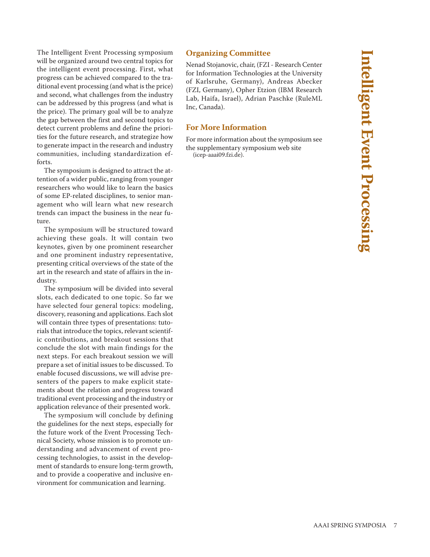The Intelligent Event Processing symposium will be organized around two central topics for the intelligent event processing. First, what progress can be achieved compared to the traditional event processing (and what is the price) and second, what challenges from the industry can be addressed by this progress (and what is the price). The primary goal will be to analyze the gap between the first and second topics to detect current problems and define the priorities for the future research, and strategize how to generate impact in the research and industry communities, including standardization efforts.

The symposium is designed to attract the attention of a wider public, ranging from younger researchers who would like to learn the basics of some EP-related disciplines, to senior management who will learn what new research trends can impact the business in the near future.

The symposium will be structured toward achieving these goals. It will contain two keynotes, given by one prominent researcher and one prominent industry representative, presenting critical overviews of the state of the art in the research and state of affairs in the industry.

The symposium will be divided into several slots, each dedicated to one topic. So far we have selected four general topics: modeling, discovery, reasoning and applications. Each slot will contain three types of presentations: tutorials that introduce the topics, relevant scientific contributions, and breakout sessions that conclude the slot with main findings for the next steps. For each breakout session we will prepare a set of initial issues to be discussed. To enable focused discussions, we will advise presenters of the papers to make explicit statements about the relation and progress toward traditional event processing and the industry or application relevance of their presented work.

The symposium will conclude by defining the guidelines for the next steps, especially for the future work of the Event Processing Technical Society, whose mission is to promote understanding and advancement of event processing technologies, to assist in the development of standards to ensure long-term growth, and to provide a cooperative and inclusive environment for communication and learning.

#### **Organizing Committee**

Nenad Stojanovic, chair, (FZI - Research Center for Information Technologies at the University of Karlsruhe, Germany), Andreas Abecker (FZI, Germany), Opher Etzion (IBM Research Lab, Haifa, Israel), Adrian Paschke (RuleML Inc, Canada).

#### **For More Information**

For more information about the symposium see the supplementary symposium web site (icep-aaai09.fzi.de).

AAAI SPRING SYMPOSIA 7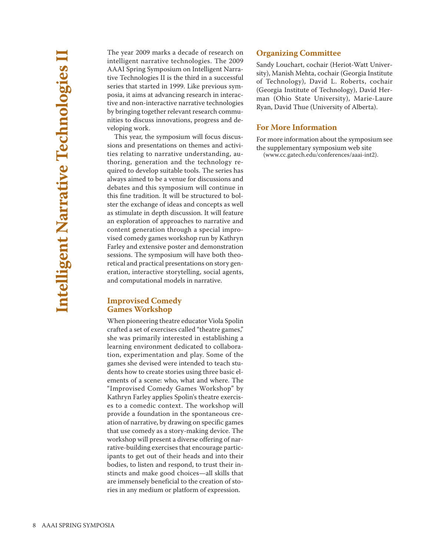The year 2009 marks a decade of research on intelligent narrative technologies. The 2009 AAAI Spring Symposium on Intelligent Narrative Technologies II is the third in a successful series that started in 1999. Like previous symposia, it aims at advancing research in interactive and non-interactive narrative technologies by bringing together relevant research communities to discuss innovations, progress and developing work.

This year, the symposium will focus discussions and presentations on themes and activities relating to narrative understanding, authoring, generation and the technology required to develop suitable tools. The series has always aimed to be a venue for discussions and debates and this symposium will continue in this fine tradition. It will be structured to bolster the exchange of ideas and concepts as well as stimulate in depth discussion. It will feature an exploration of approaches to narrative and content generation through a special improvised comedy games workshop run by Kathryn Farley and extensive poster and demonstration sessions. The symposium will have both theoretical and practical presentations on story generation, interactive storytelling, social agents, and computational models in narrative.

#### **Improvised Comedy Games Workshop**

When pioneering theatre educator Viola Spolin crafted a set of exercises called "theatre games," she was primarily interested in establishing a learning environment dedicated to collaboration, experimentation and play. Some of the games she devised were intended to teach students how to create stories using three basic elements of a scene: who, what and where. The "Improvised Comedy Games Workshop" by Kathryn Farley applies Spolin's theatre exercises to a comedic context. The workshop will provide a foundation in the spontaneous creation of narrative, by drawing on specific games that use comedy as a story-making device. The workshop will present a diverse offering of narrative-building exercises that encourage participants to get out of their heads and into their bodies, to listen and respond, to trust their instincts and make good choices—all skills that are immensely beneficial to the creation of stories in any medium or platform of expression.

#### **Organizing Committee**

Sandy Louchart, cochair (Heriot-Watt University), Manish Mehta, cochair (Georgia Institute of Technology), David L. Roberts, cochair (Georgia Institute of Technology), David Herman (Ohio State University), Marie-Laure Ryan, David Thue (University of Alberta).

#### **For More Information**

For more information about the symposium see the supplementary symposium web site (www.cc.gatech.edu/conferences/aaai-int2).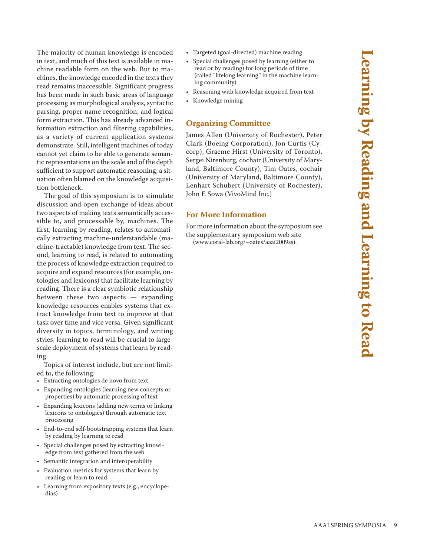The majority of human knowledge is encoded in text, and much of this text is available in machine readable form on the web. But to machines, the knowledge encoded in the texts they read remains inaccessible. Significant progress has been made in such basic areas of language processing as morphological analysis, syntactic parsing, proper name recognition, and logical form extraction. This has already advanced information extraction and filtering capabilities, as a variety of current application systems demonstrate. Still, intelligent machines of today cannot yet claim to be able to generate semantic representations on the scale and of the depth sufficient to support automatic reasoning, a situation often blamed on the knowledge acquisition bottleneck.

The goal of this symposium is to stimulate discussion and open exchange of ideas about two aspects of making texts semantically accessible to, and processable by, machines. The first, learning by reading, relates to automatically extracting machine-understandable (machine-tractable) knowledge from text. The second, learning to read, is related to automating the process of knowledge extraction required to acquire and expand resources (for example, ontologies and lexicons) that facilitate learning by reading. There is a clear symbiotic relationship between these two aspects — expanding knowledge resources enables systems that extract knowledge from text to improve at that task over time and vice versa. Given significant diversity in topics, terminology, and writing styles, learning to read will be crucial to largescale deployment of systems that learn by reading.

Topics of interest include, but are not limited to, the following:

- Extracting ontologies de novo from text
- Expanding ontologies (learning new concepts or properties) by automatic processing of text
- Expanding lexicons (adding new terms or linking lexicons to ontologies) through automatic text processing
- End-to-end self-bootstrapping systems that learn by reading by learning to read
- Special challenges posed by extracting knowledge from text gathered from the web
- Semantic integration and interoperability
- Evaluation metrics for systems that learn by reading or learn to read
- Learning from expository texts (e.g., encyclopedias)
- Targeted (goal-directed) machine reading
- Special challenges posed by learning (either to read or by reading) for long periods of time (called "lifelong learning" in the machine learning community)
- Reasoning with knowledge acquired from text
- Knowledge mining

#### **Organizing Committee**

James Allen (University of Rochester), Peter Clark (Boeing Corporation), Jon Curtis (Cycorp), Graeme Hirst (University of Toronto), Sergei Nirenburg, cochair (University of Maryland, Baltimore County), Tim Oates, cochair (University of Maryland, Baltimore County), Lenhart Schubert (University of Rochester), John F. Sowa (VivoMind Inc.)

#### **For More Information**

For more information about the symposium see the supplementary symposium web site (www.coral-lab.org/~oates/aaai2009ss).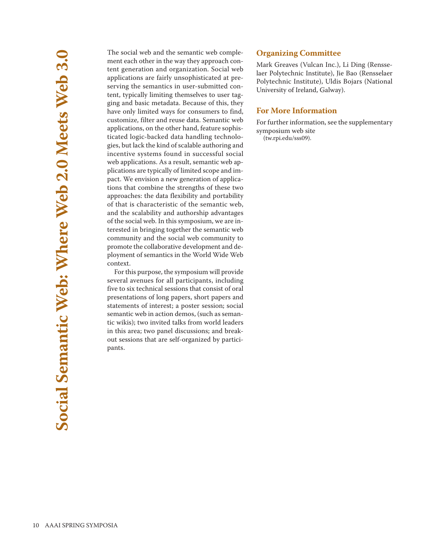The social web and the semantic web complement each other in the way they approach content generation and organization. Social web applications are fairly unsophisticated at preserving the semantics in user-submitted content, typically limiting themselves to user tagging and basic metadata. Because of this, they have only limited ways for consumers to find, customize, filter and reuse data. Semantic web applications, on the other hand, feature sophisticated logic-backed data handling technologies, but lack the kind of scalable authoring and incentive systems found in successful social web applications. As a result, semantic web applications are typically of limited scope and impact. We envision a new generation of applications that combine the strengths of these two approaches: the data flexibility and portability of that is characteristic of the semantic web, and the scalability and authorship advantages of the social web. In this symposium, we are interested in bringing together the semantic web community and the social web community to promote the collaborative development and deployment of semantics in the World Wide Web context.

For this purpose, the symposium will provide several avenues for all participants, including five to six technical sessions that consist of oral presentations of long papers, short papers and statements of interest; a poster session; social semantic web in action demos, (such as semantic wikis); two invited talks from world leaders in this area; two panel discussions; and breakout sessions that are self-organized by participants.

#### **Organizing Committee**

Mark Greaves (Vulcan Inc.), Li Ding (Rensselaer Polytechnic Institute), Jie Bao (Rensselaer Polytechnic Institute), Uldis Bojars (National University of Ireland, Galway).

#### **For More Information**

For further information, see the supplementary symposium web site

(tw.rpi.edu/sss09).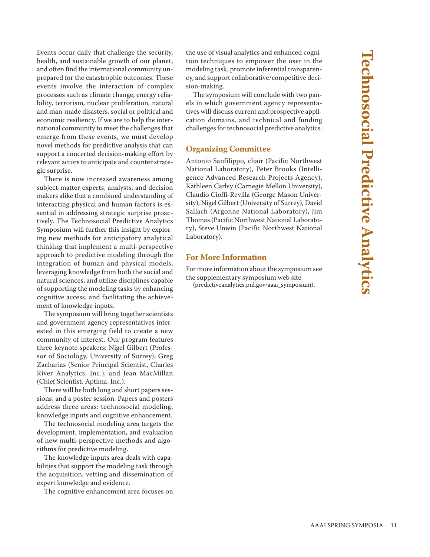Events occur daily that challenge the security, health, and sustainable growth of our planet, and often find the international community unprepared for the catastrophic outcomes. These events involve the interaction of complex processes such as climate change, energy reliability, terrorism, nuclear proliferation, natural and man-made disasters, social or political and economic resiliency. If we are to help the international community to meet the challenges that emerge from these events, we must develop novel methods for predictive analysis that can support a concerted decision-making effort by relevant actors to anticipate and counter strategic surprise.

There is now increased awareness among subject-matter experts, analysts, and decision makers alike that a combined understanding of interacting physical and human factors is essential in addressing strategic surprise proactively. The Technosocial Predictive Analytics Symposium will further this insight by exploring new methods for anticipatory analytical thinking that implement a multi-perspective approach to predictive modeling through the integration of human and physical models, leveraging knowledge from both the social and natural sciences, and utilize disciplines capable of supporting the modeling tasks by enhancing cognitive access, and facilitating the achievement of knowledge inputs.

The symposium will bring together scientists and government agency representatives interested in this emerging field to create a new community of interest. Our program features three keynote speakers: Nigel Gilbert (Professor of Sociology, University of Surrey); Greg Zacharias (Senior Principal Scientist, Charles River Analytics, Inc.); and Jean MacMillan (Chief Scientist, Aptima, Inc.).

There will be both long and short papers sessions, and a poster session. Papers and posters address three areas: technosocial modeling, knowledge inputs and cognitive enhancement.

The technosocial modeling area targets the development, implementation, and evaluation of new multi-perspective methods and algorithms for predictive modeling.

The knowledge inputs area deals with capabilities that support the modeling task through the acquisition, vetting and dissemination of expert knowledge and evidence.

The cognitive enhancement area focuses on

the use of visual analytics and enhanced cognition techniques to empower the user in the modeling task, promote inferential transparency, and support collaborative/competitive decision-making.

The symposium will conclude with two panels in which government agency representatives will discuss current and prospective application domains, and technical and funding challenges for technosocial predictive analytics.

#### **Organizing Committee**

Antonio Sanfilippo, chair (Pacific Northwest National Laboratory), Peter Brooks (Intelligence Advanced Research Projects Agency), Kathleen Carley (Carnegie Mellon University), Claudio Cioffi-Revilla (George Mason University), Nigel Gilbert (University of Surrey), David Sallach (Argonne National Laboratory), Jim Thomas (Pacific Northwest National Laboratory), Steve Unwin (Pacific Northwest National Laboratory).

#### **For More Information**

For more information about the symposium see the supplementary symposium web site

(predictiveanalytics.pnl.gov/aaai\_symposium).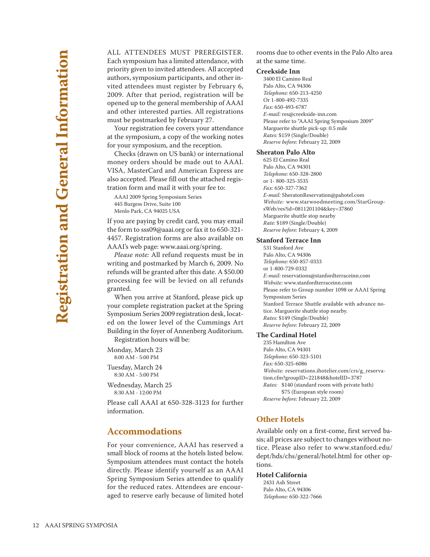ALL ATTENDEES MUST PREREGISTER. Each symposium has a limited attendance, with priority given to invited attendees. All accepted authors, symposium participants, and other invited attendees must register by February 6, 2009. After that period, registration will be opened up to the general membership of AAAI and other interested parties. All registrations must be postmarked by February 27.

Your registration fee covers your attendance at the symposium, a copy of the working notes for your symposium, and the reception.

Checks (drawn on US bank) or international money orders should be made out to AAAI. VISA, MasterCard and American Express are also accepted. Please fill out the attached registration form and mail it with your fee to:

AAAI 2009 Spring Symposium Series 445 Burgess Drive, Suite 100 Menlo Park, CA 94025 USA

If you are paying by credit card, you may email the form to sss09@aaai.org or fax it to 650-321- 4457. Registration forms are also available on AAAI's web page: www.aaai.org/spring.

*Please note:* All refund requests must be in writing and postmarked by March 6, 2009. No refunds will be granted after this date. A \$50.00 processing fee will be levied on all refunds granted.

When you arrive at Stanford, please pick up your complete registration packet at the Spring Symposium Series 2009 registration desk, located on the lower level of the Cummings Art Building in the foyer of Annenberg Auditorium. Registration hours will be:

Monday, March 23 8:00 AM - 5:00 PM

Tuesday, March 24 8:30 AM - 5:00 PM

Wednesday, March 25 8:30 AM - 12:00 PM

Please call AAAI at 650-328-3123 for further information.

#### **Accommodations**

For your convenience, AAAI has reserved a small block of rooms at the hotels listed below. Symposium attendees must contact the hotels directly. Please identify yourself as an AAAI Spring Symposium Series attendee to qualify for the reduced rates. Attendees are encouraged to reserve early because of limited hotel

rooms due to other events in the Palo Alto area at the same time.

#### **Creekside Inn**

3400 El Camino Real Palo Alto, CA 94306 *Telephone:* 650-213-4250 Or 1-800-492-7335 *Fax:* 650-493-6787 *E-mail:* res@creekside-inn.com Please refer to "AAAI Spring Symposium 2009" Marguerite shuttle pick-up: 0.5 mile *Rates:* \$159 (Single/Double) *Reserve before:* February 22, 2009

#### **Sheraton Palo Alto**

625 El Camino Real Palo Alto, CA 94301 *Telephone:* 650-328-2800 or 1- 800-325-3535 *Fax:* 650-327-7362 *E-mail:* SheratonReservation@pahotel.com *Website:* www.starwoodmeeting.com/StarGroupsWeb/res?id=0811201104&key=37860 Marguerite shuttle stop nearby *Rate:* \$189 (Single/Double) *Reserve before:* February 4, 2009

#### **Stanford Terrace Inn**

531 Stanford Ave Palo Alto, CA 94306 *Telephone:* 650-857-0333 or 1-800-729-0332 *E-mail:* reservations@stanfordterraceinn.com *Website*: www.stanfordterraceinn.com Please refer to Group number 1098 or AAAI Spring Symposium Series Stanford Terrace Shuttle available with advance notice. Marguerite shuttle stop nearby. *Rates:* \$149 (Single/Double) *Reserve before:* February 22, 2009

#### **The Cardinal Hotel**

235 Hamilton Ave Palo Alto, CA 94301 *Telephone:* 650-323-5101 *Fax:* 650-325-6086 *Website:* reservations.ihotelier.com/crs/g\_reservation.cfm?groupID=221848&hotelID=3787 *Rates:* \$140 (standard room with private bath) \$75 (European style room) *Reserve before:* February 22, 2009

#### **Other Hotels**

Available only on a first-come, first served basis; all prices are subject to changes without notice. Please also refer to www.stanford.edu/ dept/hds/chs/general/hotel.html for other options.

#### **Hotel California**

2431 Ash Street Palo Alto, CA 94306 *Telephone:* 650-322-7666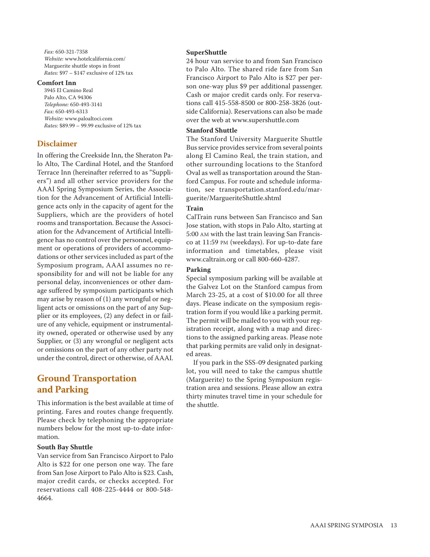*Fax:* 650-321-7358 *Website:* www.hotelcalifornia.com/ Marguerite shuttle stops in front *Rates:* \$97 – \$147 exclusive of 12% tax

#### **Comfort Inn**

3945 El Camino Real Palo Alto, CA 94306 *Telephone:* 650-493-3141 *Fax:* 650-493-6313 *Website:* www.paloaltoci.com *Rates:* \$89.99 – 99.99 exclusive of 12% tax

#### **Disclaimer**

In offering the Creekside Inn, the Sheraton Palo Alto, The Cardinal Hotel, and the Stanford Terrace Inn (hereinafter referred to as "Suppliers") and all other service providers for the AAAI Spring Symposium Series, the Association for the Advancement of Artificial Intelligence acts only in the capacity of agent for the Suppliers, which are the providers of hotel rooms and transportation. Because the Association for the Advancement of Artificial Intelligence has no control over the personnel, equipment or operations of providers of accommodations or other services included as part of the Symposium program, AAAI assumes no responsibility for and will not be liable for any personal delay, inconveniences or other damage suffered by symposium participants which may arise by reason of (1) any wrongful or negligent acts or omissions on the part of any Supplier or its employees, (2) any defect in or failure of any vehicle, equipment or instrumentality owned, operated or otherwise used by any Supplier, or (3) any wrongful or negligent acts or omissions on the part of any other party not under the control, direct or otherwise, of AAAI.

#### **Ground Transportation and Parking**

This information is the best available at time of printing. Fares and routes change frequently. Please check by telephoning the appropriate numbers below for the most up-to-date information.

#### **South Bay Shuttle**

Van service from San Francisco Airport to Palo Alto is \$22 for one person one way. The fare from San Jose Airport to Palo Alto is \$23. Cash, major credit cards, or checks accepted. For reservations call 408-225-4444 or 800-548- 4664.

#### **SuperShuttle**

24 hour van service to and from San Francisco to Palo Alto. The shared ride fare from San Francisco Airport to Palo Alto is \$27 per person one-way plus \$9 per additional passenger. Cash or major credit cards only. For reservations call 415-558-8500 or 800-258-3826 (outside California). Reservations can also be made over the web at www.supershuttle.com

#### **Stanford Shuttle**

The Stanford University Marguerite Shuttle Bus service provides service from several points along El Camino Real, the train station, and other surrounding locations to the Stanford Oval as well as transportation around the Stanford Campus. For route and schedule information, see transportation.stanford.edu/marguerite/MargueriteShuttle.shtml

#### **Train**

CalTrain runs between San Francisco and San Jose station, with stops in Palo Alto, starting at 5:00 AM with the last train leaving San Francisco at 11:59 PM (weekdays). For up-to-date fare information and timetables, please visit www.caltrain.org or call 800-660-4287.

#### **Parking**

Special symposium parking will be available at the Galvez Lot on the Stanford campus from March 23-25, at a cost of \$10.00 for all three days. Please indicate on the symposium registration form if you would like a parking permit. The permit will be mailed to you with your registration receipt, along with a map and directions to the assigned parking areas. Please note that parking permits are valid only in designated areas.

If you park in the SSS-09 designated parking lot, you will need to take the campus shuttle (Marguerite) to the Spring Symposium registration area and sessions. Please allow an extra thirty minutes travel time in your schedule for the shuttle.